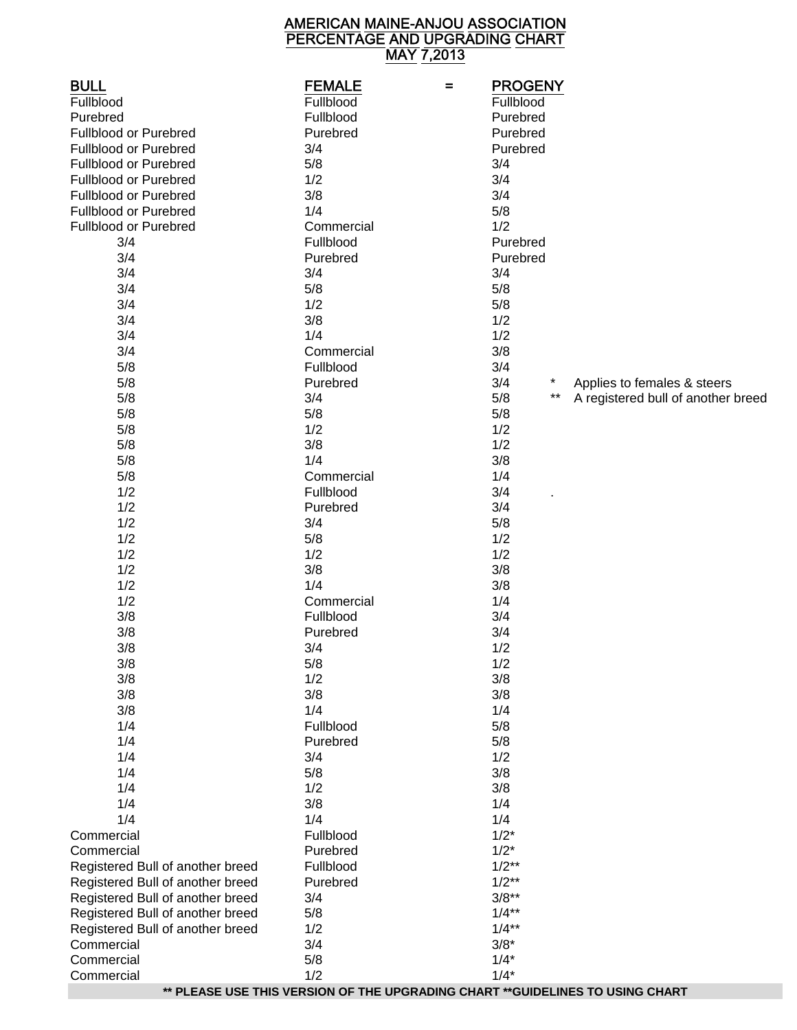## AMERICAN MAINE-ANJOU ASSOCIATION PERCENTAGE AND UPGRADING CHART MAY 7,2013

| Fullblood<br>Fullblood<br>Fullblood<br>Purebred<br>Fullblood<br>Purebred<br>Fullblood or Purebred<br>Purebred<br>Purebred<br>Fullblood or Purebred<br>3/4<br>Purebred<br>5/8<br>3/4<br>Fullblood or Purebred<br>3/4<br>1/2<br>Fullblood or Purebred<br>3/8<br>3/4<br>Fullblood or Purebred<br>1/4<br>5/8<br><b>Fullblood or Purebred</b><br>1/2<br>Fullblood or Purebred<br>Commercial<br>3/4<br>Fullblood<br>Purebred<br>3/4<br>Purebred<br>Purebred<br>3/4<br>3/4<br>3/4<br>3/4<br>5/8<br>5/8<br>3/4<br>1/2<br>5/8<br>3/8<br>1/2<br>3/4<br>3/4<br>1/4<br>1/2<br>3/8<br>3/4<br>Commercial<br>5/8<br>3/4<br>Fullblood<br>5/8<br>3/4<br>Purebred<br>Applies to females & steers<br>$***$<br>5/8<br>5/8<br>3/4<br>A registered bull of another breed<br>5/8<br>5/8<br>5/8<br>5/8<br>1/2<br>1/2<br>5/8<br>3/8<br>1/2<br>5/8<br>1/4<br>3/8<br>5/8<br>Commercial<br>1/4<br>1/2<br>3/4<br>Fullblood<br>1/2<br>3/4<br>Purebred<br>1/2<br>5/8<br>3/4<br>1/2<br>5/8<br>1/2<br>1/2<br>1/2<br>1/2<br>1/2<br>3/8<br>3/8<br>1/2<br>1/4<br>3/8<br>1/2<br>Commercial<br>1/4<br>3/8<br>3/4<br>Fullblood<br>3/4<br>3/8<br>Purebred<br>1/2<br>3/8<br>3/4<br>3/8<br>5/8<br>1/2<br>3/8<br>3/8<br>1/2<br>3/8<br>3/8<br>3/8<br>1/4<br>3/8<br>1/4<br>5/8<br>1/4<br>Fullblood<br>1/4<br>5/8<br>Purebred<br>1/2<br>1/4<br>3/4<br>1/4<br>3/8<br>5/8<br>3/8<br>1/4<br>1/2<br>3/8<br>1/4<br>1/4<br>1/4<br>1/4<br>1/4<br>$1/2*$<br>Fullblood<br>Commercial<br>$1/2*$<br>Commercial<br>Purebred<br>$1/2**$<br>Fullblood<br>Registered Bull of another breed<br>$1/2**$<br>Registered Bull of another breed<br>Purebred<br>$3/8**$<br>3/4<br>Registered Bull of another breed<br>$1/4**$<br>5/8<br>Registered Bull of another breed<br>1/2<br>$1/4**$<br>Registered Bull of another breed<br>3/4<br>$3/8*$<br>Commercial<br>5/8<br>Commercial<br>$1/4*$<br>1/2<br>$1/4*$<br>Commercial<br>** PLEASE USE THIS VERSION OF THE UPGRADING CHART ** GUIDELINES TO USING CHART | <b>BULL</b> | <b>FEMALE</b><br>$=$ | <b>PROGENY</b> |
|-------------------------------------------------------------------------------------------------------------------------------------------------------------------------------------------------------------------------------------------------------------------------------------------------------------------------------------------------------------------------------------------------------------------------------------------------------------------------------------------------------------------------------------------------------------------------------------------------------------------------------------------------------------------------------------------------------------------------------------------------------------------------------------------------------------------------------------------------------------------------------------------------------------------------------------------------------------------------------------------------------------------------------------------------------------------------------------------------------------------------------------------------------------------------------------------------------------------------------------------------------------------------------------------------------------------------------------------------------------------------------------------------------------------------------------------------------------------------------------------------------------------------------------------------------------------------------------------------------------------------------------------------------------------------------------------------------------------------------------------------------------------------------------------------------------------------------------------------------------------------------------------------------------------------------------------|-------------|----------------------|----------------|
|                                                                                                                                                                                                                                                                                                                                                                                                                                                                                                                                                                                                                                                                                                                                                                                                                                                                                                                                                                                                                                                                                                                                                                                                                                                                                                                                                                                                                                                                                                                                                                                                                                                                                                                                                                                                                                                                                                                                           |             |                      |                |
|                                                                                                                                                                                                                                                                                                                                                                                                                                                                                                                                                                                                                                                                                                                                                                                                                                                                                                                                                                                                                                                                                                                                                                                                                                                                                                                                                                                                                                                                                                                                                                                                                                                                                                                                                                                                                                                                                                                                           |             |                      |                |
|                                                                                                                                                                                                                                                                                                                                                                                                                                                                                                                                                                                                                                                                                                                                                                                                                                                                                                                                                                                                                                                                                                                                                                                                                                                                                                                                                                                                                                                                                                                                                                                                                                                                                                                                                                                                                                                                                                                                           |             |                      |                |
|                                                                                                                                                                                                                                                                                                                                                                                                                                                                                                                                                                                                                                                                                                                                                                                                                                                                                                                                                                                                                                                                                                                                                                                                                                                                                                                                                                                                                                                                                                                                                                                                                                                                                                                                                                                                                                                                                                                                           |             |                      |                |
|                                                                                                                                                                                                                                                                                                                                                                                                                                                                                                                                                                                                                                                                                                                                                                                                                                                                                                                                                                                                                                                                                                                                                                                                                                                                                                                                                                                                                                                                                                                                                                                                                                                                                                                                                                                                                                                                                                                                           |             |                      |                |
|                                                                                                                                                                                                                                                                                                                                                                                                                                                                                                                                                                                                                                                                                                                                                                                                                                                                                                                                                                                                                                                                                                                                                                                                                                                                                                                                                                                                                                                                                                                                                                                                                                                                                                                                                                                                                                                                                                                                           |             |                      |                |
|                                                                                                                                                                                                                                                                                                                                                                                                                                                                                                                                                                                                                                                                                                                                                                                                                                                                                                                                                                                                                                                                                                                                                                                                                                                                                                                                                                                                                                                                                                                                                                                                                                                                                                                                                                                                                                                                                                                                           |             |                      |                |
|                                                                                                                                                                                                                                                                                                                                                                                                                                                                                                                                                                                                                                                                                                                                                                                                                                                                                                                                                                                                                                                                                                                                                                                                                                                                                                                                                                                                                                                                                                                                                                                                                                                                                                                                                                                                                                                                                                                                           |             |                      |                |
|                                                                                                                                                                                                                                                                                                                                                                                                                                                                                                                                                                                                                                                                                                                                                                                                                                                                                                                                                                                                                                                                                                                                                                                                                                                                                                                                                                                                                                                                                                                                                                                                                                                                                                                                                                                                                                                                                                                                           |             |                      |                |
|                                                                                                                                                                                                                                                                                                                                                                                                                                                                                                                                                                                                                                                                                                                                                                                                                                                                                                                                                                                                                                                                                                                                                                                                                                                                                                                                                                                                                                                                                                                                                                                                                                                                                                                                                                                                                                                                                                                                           |             |                      |                |
|                                                                                                                                                                                                                                                                                                                                                                                                                                                                                                                                                                                                                                                                                                                                                                                                                                                                                                                                                                                                                                                                                                                                                                                                                                                                                                                                                                                                                                                                                                                                                                                                                                                                                                                                                                                                                                                                                                                                           |             |                      |                |
|                                                                                                                                                                                                                                                                                                                                                                                                                                                                                                                                                                                                                                                                                                                                                                                                                                                                                                                                                                                                                                                                                                                                                                                                                                                                                                                                                                                                                                                                                                                                                                                                                                                                                                                                                                                                                                                                                                                                           |             |                      |                |
|                                                                                                                                                                                                                                                                                                                                                                                                                                                                                                                                                                                                                                                                                                                                                                                                                                                                                                                                                                                                                                                                                                                                                                                                                                                                                                                                                                                                                                                                                                                                                                                                                                                                                                                                                                                                                                                                                                                                           |             |                      |                |
|                                                                                                                                                                                                                                                                                                                                                                                                                                                                                                                                                                                                                                                                                                                                                                                                                                                                                                                                                                                                                                                                                                                                                                                                                                                                                                                                                                                                                                                                                                                                                                                                                                                                                                                                                                                                                                                                                                                                           |             |                      |                |
|                                                                                                                                                                                                                                                                                                                                                                                                                                                                                                                                                                                                                                                                                                                                                                                                                                                                                                                                                                                                                                                                                                                                                                                                                                                                                                                                                                                                                                                                                                                                                                                                                                                                                                                                                                                                                                                                                                                                           |             |                      |                |
|                                                                                                                                                                                                                                                                                                                                                                                                                                                                                                                                                                                                                                                                                                                                                                                                                                                                                                                                                                                                                                                                                                                                                                                                                                                                                                                                                                                                                                                                                                                                                                                                                                                                                                                                                                                                                                                                                                                                           |             |                      |                |
|                                                                                                                                                                                                                                                                                                                                                                                                                                                                                                                                                                                                                                                                                                                                                                                                                                                                                                                                                                                                                                                                                                                                                                                                                                                                                                                                                                                                                                                                                                                                                                                                                                                                                                                                                                                                                                                                                                                                           |             |                      |                |
|                                                                                                                                                                                                                                                                                                                                                                                                                                                                                                                                                                                                                                                                                                                                                                                                                                                                                                                                                                                                                                                                                                                                                                                                                                                                                                                                                                                                                                                                                                                                                                                                                                                                                                                                                                                                                                                                                                                                           |             |                      |                |
|                                                                                                                                                                                                                                                                                                                                                                                                                                                                                                                                                                                                                                                                                                                                                                                                                                                                                                                                                                                                                                                                                                                                                                                                                                                                                                                                                                                                                                                                                                                                                                                                                                                                                                                                                                                                                                                                                                                                           |             |                      |                |
|                                                                                                                                                                                                                                                                                                                                                                                                                                                                                                                                                                                                                                                                                                                                                                                                                                                                                                                                                                                                                                                                                                                                                                                                                                                                                                                                                                                                                                                                                                                                                                                                                                                                                                                                                                                                                                                                                                                                           |             |                      |                |
|                                                                                                                                                                                                                                                                                                                                                                                                                                                                                                                                                                                                                                                                                                                                                                                                                                                                                                                                                                                                                                                                                                                                                                                                                                                                                                                                                                                                                                                                                                                                                                                                                                                                                                                                                                                                                                                                                                                                           |             |                      |                |
|                                                                                                                                                                                                                                                                                                                                                                                                                                                                                                                                                                                                                                                                                                                                                                                                                                                                                                                                                                                                                                                                                                                                                                                                                                                                                                                                                                                                                                                                                                                                                                                                                                                                                                                                                                                                                                                                                                                                           |             |                      |                |
|                                                                                                                                                                                                                                                                                                                                                                                                                                                                                                                                                                                                                                                                                                                                                                                                                                                                                                                                                                                                                                                                                                                                                                                                                                                                                                                                                                                                                                                                                                                                                                                                                                                                                                                                                                                                                                                                                                                                           |             |                      |                |
|                                                                                                                                                                                                                                                                                                                                                                                                                                                                                                                                                                                                                                                                                                                                                                                                                                                                                                                                                                                                                                                                                                                                                                                                                                                                                                                                                                                                                                                                                                                                                                                                                                                                                                                                                                                                                                                                                                                                           |             |                      |                |
|                                                                                                                                                                                                                                                                                                                                                                                                                                                                                                                                                                                                                                                                                                                                                                                                                                                                                                                                                                                                                                                                                                                                                                                                                                                                                                                                                                                                                                                                                                                                                                                                                                                                                                                                                                                                                                                                                                                                           |             |                      |                |
|                                                                                                                                                                                                                                                                                                                                                                                                                                                                                                                                                                                                                                                                                                                                                                                                                                                                                                                                                                                                                                                                                                                                                                                                                                                                                                                                                                                                                                                                                                                                                                                                                                                                                                                                                                                                                                                                                                                                           |             |                      |                |
|                                                                                                                                                                                                                                                                                                                                                                                                                                                                                                                                                                                                                                                                                                                                                                                                                                                                                                                                                                                                                                                                                                                                                                                                                                                                                                                                                                                                                                                                                                                                                                                                                                                                                                                                                                                                                                                                                                                                           |             |                      |                |
|                                                                                                                                                                                                                                                                                                                                                                                                                                                                                                                                                                                                                                                                                                                                                                                                                                                                                                                                                                                                                                                                                                                                                                                                                                                                                                                                                                                                                                                                                                                                                                                                                                                                                                                                                                                                                                                                                                                                           |             |                      |                |
|                                                                                                                                                                                                                                                                                                                                                                                                                                                                                                                                                                                                                                                                                                                                                                                                                                                                                                                                                                                                                                                                                                                                                                                                                                                                                                                                                                                                                                                                                                                                                                                                                                                                                                                                                                                                                                                                                                                                           |             |                      |                |
|                                                                                                                                                                                                                                                                                                                                                                                                                                                                                                                                                                                                                                                                                                                                                                                                                                                                                                                                                                                                                                                                                                                                                                                                                                                                                                                                                                                                                                                                                                                                                                                                                                                                                                                                                                                                                                                                                                                                           |             |                      |                |
|                                                                                                                                                                                                                                                                                                                                                                                                                                                                                                                                                                                                                                                                                                                                                                                                                                                                                                                                                                                                                                                                                                                                                                                                                                                                                                                                                                                                                                                                                                                                                                                                                                                                                                                                                                                                                                                                                                                                           |             |                      |                |
|                                                                                                                                                                                                                                                                                                                                                                                                                                                                                                                                                                                                                                                                                                                                                                                                                                                                                                                                                                                                                                                                                                                                                                                                                                                                                                                                                                                                                                                                                                                                                                                                                                                                                                                                                                                                                                                                                                                                           |             |                      |                |
|                                                                                                                                                                                                                                                                                                                                                                                                                                                                                                                                                                                                                                                                                                                                                                                                                                                                                                                                                                                                                                                                                                                                                                                                                                                                                                                                                                                                                                                                                                                                                                                                                                                                                                                                                                                                                                                                                                                                           |             |                      |                |
|                                                                                                                                                                                                                                                                                                                                                                                                                                                                                                                                                                                                                                                                                                                                                                                                                                                                                                                                                                                                                                                                                                                                                                                                                                                                                                                                                                                                                                                                                                                                                                                                                                                                                                                                                                                                                                                                                                                                           |             |                      |                |
|                                                                                                                                                                                                                                                                                                                                                                                                                                                                                                                                                                                                                                                                                                                                                                                                                                                                                                                                                                                                                                                                                                                                                                                                                                                                                                                                                                                                                                                                                                                                                                                                                                                                                                                                                                                                                                                                                                                                           |             |                      |                |
|                                                                                                                                                                                                                                                                                                                                                                                                                                                                                                                                                                                                                                                                                                                                                                                                                                                                                                                                                                                                                                                                                                                                                                                                                                                                                                                                                                                                                                                                                                                                                                                                                                                                                                                                                                                                                                                                                                                                           |             |                      |                |
|                                                                                                                                                                                                                                                                                                                                                                                                                                                                                                                                                                                                                                                                                                                                                                                                                                                                                                                                                                                                                                                                                                                                                                                                                                                                                                                                                                                                                                                                                                                                                                                                                                                                                                                                                                                                                                                                                                                                           |             |                      |                |
|                                                                                                                                                                                                                                                                                                                                                                                                                                                                                                                                                                                                                                                                                                                                                                                                                                                                                                                                                                                                                                                                                                                                                                                                                                                                                                                                                                                                                                                                                                                                                                                                                                                                                                                                                                                                                                                                                                                                           |             |                      |                |
|                                                                                                                                                                                                                                                                                                                                                                                                                                                                                                                                                                                                                                                                                                                                                                                                                                                                                                                                                                                                                                                                                                                                                                                                                                                                                                                                                                                                                                                                                                                                                                                                                                                                                                                                                                                                                                                                                                                                           |             |                      |                |
|                                                                                                                                                                                                                                                                                                                                                                                                                                                                                                                                                                                                                                                                                                                                                                                                                                                                                                                                                                                                                                                                                                                                                                                                                                                                                                                                                                                                                                                                                                                                                                                                                                                                                                                                                                                                                                                                                                                                           |             |                      |                |
|                                                                                                                                                                                                                                                                                                                                                                                                                                                                                                                                                                                                                                                                                                                                                                                                                                                                                                                                                                                                                                                                                                                                                                                                                                                                                                                                                                                                                                                                                                                                                                                                                                                                                                                                                                                                                                                                                                                                           |             |                      |                |
|                                                                                                                                                                                                                                                                                                                                                                                                                                                                                                                                                                                                                                                                                                                                                                                                                                                                                                                                                                                                                                                                                                                                                                                                                                                                                                                                                                                                                                                                                                                                                                                                                                                                                                                                                                                                                                                                                                                                           |             |                      |                |
|                                                                                                                                                                                                                                                                                                                                                                                                                                                                                                                                                                                                                                                                                                                                                                                                                                                                                                                                                                                                                                                                                                                                                                                                                                                                                                                                                                                                                                                                                                                                                                                                                                                                                                                                                                                                                                                                                                                                           |             |                      |                |
|                                                                                                                                                                                                                                                                                                                                                                                                                                                                                                                                                                                                                                                                                                                                                                                                                                                                                                                                                                                                                                                                                                                                                                                                                                                                                                                                                                                                                                                                                                                                                                                                                                                                                                                                                                                                                                                                                                                                           |             |                      |                |
|                                                                                                                                                                                                                                                                                                                                                                                                                                                                                                                                                                                                                                                                                                                                                                                                                                                                                                                                                                                                                                                                                                                                                                                                                                                                                                                                                                                                                                                                                                                                                                                                                                                                                                                                                                                                                                                                                                                                           |             |                      |                |
|                                                                                                                                                                                                                                                                                                                                                                                                                                                                                                                                                                                                                                                                                                                                                                                                                                                                                                                                                                                                                                                                                                                                                                                                                                                                                                                                                                                                                                                                                                                                                                                                                                                                                                                                                                                                                                                                                                                                           |             |                      |                |
|                                                                                                                                                                                                                                                                                                                                                                                                                                                                                                                                                                                                                                                                                                                                                                                                                                                                                                                                                                                                                                                                                                                                                                                                                                                                                                                                                                                                                                                                                                                                                                                                                                                                                                                                                                                                                                                                                                                                           |             |                      |                |
|                                                                                                                                                                                                                                                                                                                                                                                                                                                                                                                                                                                                                                                                                                                                                                                                                                                                                                                                                                                                                                                                                                                                                                                                                                                                                                                                                                                                                                                                                                                                                                                                                                                                                                                                                                                                                                                                                                                                           |             |                      |                |
|                                                                                                                                                                                                                                                                                                                                                                                                                                                                                                                                                                                                                                                                                                                                                                                                                                                                                                                                                                                                                                                                                                                                                                                                                                                                                                                                                                                                                                                                                                                                                                                                                                                                                                                                                                                                                                                                                                                                           |             |                      |                |
|                                                                                                                                                                                                                                                                                                                                                                                                                                                                                                                                                                                                                                                                                                                                                                                                                                                                                                                                                                                                                                                                                                                                                                                                                                                                                                                                                                                                                                                                                                                                                                                                                                                                                                                                                                                                                                                                                                                                           |             |                      |                |
|                                                                                                                                                                                                                                                                                                                                                                                                                                                                                                                                                                                                                                                                                                                                                                                                                                                                                                                                                                                                                                                                                                                                                                                                                                                                                                                                                                                                                                                                                                                                                                                                                                                                                                                                                                                                                                                                                                                                           |             |                      |                |
|                                                                                                                                                                                                                                                                                                                                                                                                                                                                                                                                                                                                                                                                                                                                                                                                                                                                                                                                                                                                                                                                                                                                                                                                                                                                                                                                                                                                                                                                                                                                                                                                                                                                                                                                                                                                                                                                                                                                           |             |                      |                |
|                                                                                                                                                                                                                                                                                                                                                                                                                                                                                                                                                                                                                                                                                                                                                                                                                                                                                                                                                                                                                                                                                                                                                                                                                                                                                                                                                                                                                                                                                                                                                                                                                                                                                                                                                                                                                                                                                                                                           |             |                      |                |
|                                                                                                                                                                                                                                                                                                                                                                                                                                                                                                                                                                                                                                                                                                                                                                                                                                                                                                                                                                                                                                                                                                                                                                                                                                                                                                                                                                                                                                                                                                                                                                                                                                                                                                                                                                                                                                                                                                                                           |             |                      |                |